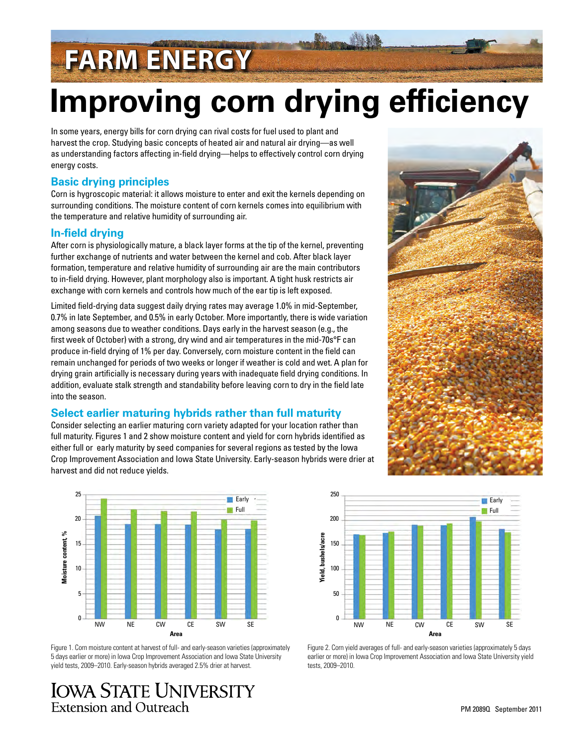# **FARM ENERGY**

# **Improving corn drying efficiency**

In some years, energy bills for corn drying can rival costs for fuel used to plant and harvest the crop. Studying basic concepts of heated air and natural air drying—as well as understanding factors affecting in-field drying—helps to effectively control corn drying energy costs.

### **Basic drying principles**

Corn is hygroscopic material: it allows moisture to enter and exit the kernels depending on surrounding conditions. The moisture content of corn kernels comes into equilibrium with the temperature and relative humidity of surrounding air.

### **In-field drying**

After corn is physiologically mature, a black layer forms at the tip of the kernel, preventing further exchange of nutrients and water between the kernel and cob. After black layer formation, temperature and relative humidity of surrounding air are the main contributors to in-field drying. However, plant morphology also is important. A tight husk restricts air exchange with corn kernels and controls how much of the ear tip is left exposed.

Limited field-drying data suggest daily drying rates may average 1.0% in mid-September, 0.7% in late September, and 0.5% in early October. More importantly, there is wide variation among seasons due to weather conditions. Days early in the harvest season (e.g., the first week of October) with a strong, dry wind and air temperatures in the mid-70s°F can produce in-field drying of 1% per day. Conversely, corn moisture content in the field can remain unchanged for periods of two weeks or longer if weather is cold and wet. A plan for drying grain artificially is necessary during years with inadequate field drying conditions. In addition, evaluate stalk strength and standability before leaving corn to dry in the field late into the season.

### **Select earlier maturing hybrids rather than full maturity**

Consider selecting an earlier maturing corn variety adapted for your location rather than full maturity. Figures 1 and 2 show moisture content and yield for corn hybrids identified as either full or early maturity by seed companies for several regions as tested by the Iowa Crop Improvement Association and Iowa State University. Early-season hybrids were drier at harvest and did not reduce yields.



Figure 1. Corn moisture content at harvest of full- and early-season varieties (approximately 5 days earlier or more) in Iowa Crop Improvement Association and Iowa State University yield tests, 2009–2010. Early-season hybrids averaged 2.5% drier at harvest.

## **IOWA STATE UNIVERSITY Extension and Outreach**





Figure 2. Corn yield averages of full- and early-season varieties (approximately 5 days earlier or more) in Iowa Crop Improvement Association and Iowa State University yield tests, 2009–2010.